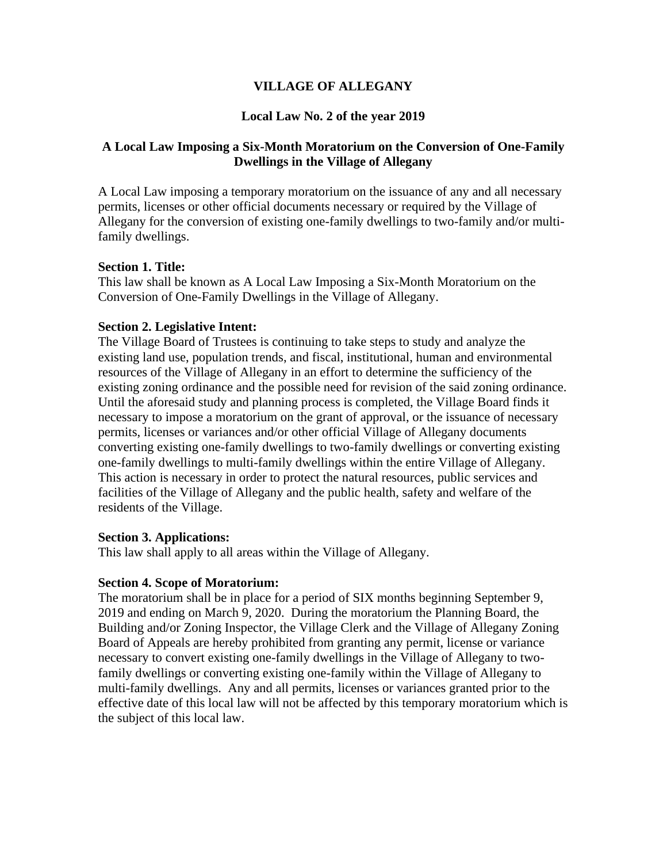## **VILLAGE OF ALLEGANY**

# **Local Law No. 2 of the year 2019**

## **A Local Law Imposing a Six-Month Moratorium on the Conversion of One-Family Dwellings in the Village of Allegany**

A Local Law imposing a temporary moratorium on the issuance of any and all necessary permits, licenses or other official documents necessary or required by the Village of Allegany for the conversion of existing one-family dwellings to two-family and/or multifamily dwellings.

## **Section 1. Title:**

This law shall be known as A Local Law Imposing a Six-Month Moratorium on the Conversion of One-Family Dwellings in the Village of Allegany.

### **Section 2. Legislative Intent:**

The Village Board of Trustees is continuing to take steps to study and analyze the existing land use, population trends, and fiscal, institutional, human and environmental resources of the Village of Allegany in an effort to determine the sufficiency of the existing zoning ordinance and the possible need for revision of the said zoning ordinance. Until the aforesaid study and planning process is completed, the Village Board finds it necessary to impose a moratorium on the grant of approval, or the issuance of necessary permits, licenses or variances and/or other official Village of Allegany documents converting existing one-family dwellings to two-family dwellings or converting existing one-family dwellings to multi-family dwellings within the entire Village of Allegany. This action is necessary in order to protect the natural resources, public services and facilities of the Village of Allegany and the public health, safety and welfare of the residents of the Village.

### **Section 3. Applications:**

This law shall apply to all areas within the Village of Allegany.

## **Section 4. Scope of Moratorium:**

The moratorium shall be in place for a period of SIX months beginning September 9, 2019 and ending on March 9, 2020. During the moratorium the Planning Board, the Building and/or Zoning Inspector, the Village Clerk and the Village of Allegany Zoning Board of Appeals are hereby prohibited from granting any permit, license or variance necessary to convert existing one-family dwellings in the Village of Allegany to twofamily dwellings or converting existing one-family within the Village of Allegany to multi-family dwellings. Any and all permits, licenses or variances granted prior to the effective date of this local law will not be affected by this temporary moratorium which is the subject of this local law.